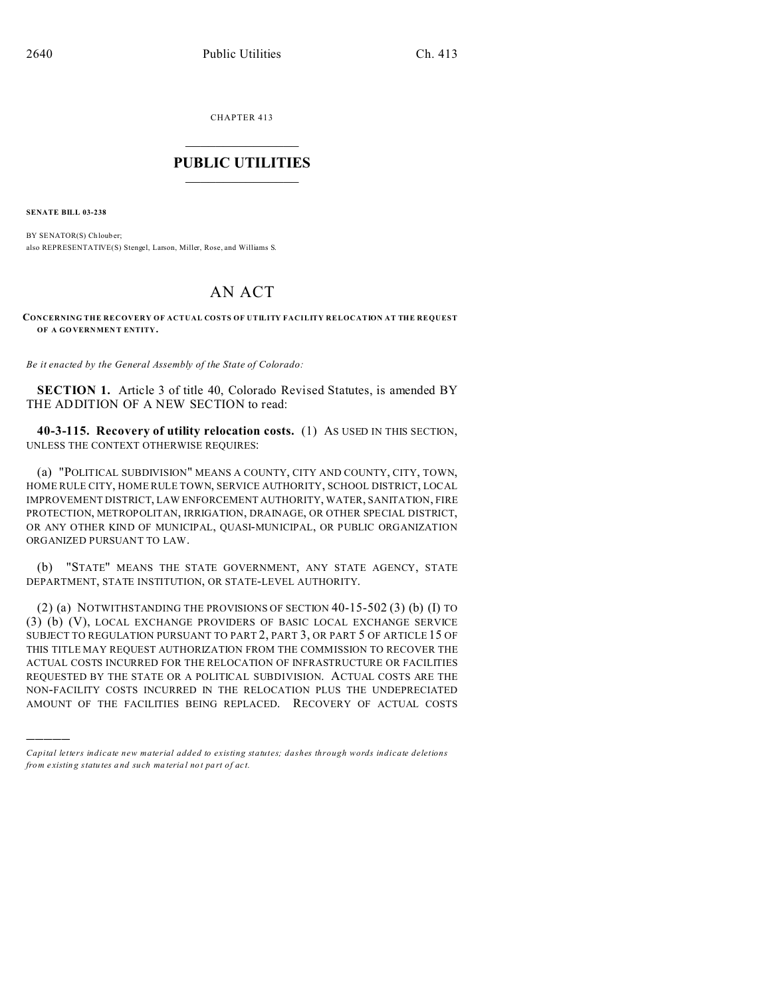CHAPTER 413  $\overline{\phantom{a}}$  , where  $\overline{\phantom{a}}$ 

## **PUBLIC UTILITIES**  $\frac{1}{\sqrt{2}}$  ,  $\frac{1}{\sqrt{2}}$  ,  $\frac{1}{\sqrt{2}}$  ,  $\frac{1}{\sqrt{2}}$  ,  $\frac{1}{\sqrt{2}}$  ,  $\frac{1}{\sqrt{2}}$

**SENATE BILL 03-238**

)))))

BY SENATOR(S) Chlouber; also REPRESENTATIVE(S) Stengel, Larson, Miller, Rose, and Williams S.

## AN ACT

## **CONCERNING THE RECOVERY OF ACTUAL COSTS OF UTILITY FACILITY RELOCATION AT THE REQUEST OF A GO VERNMEN T ENTITY.**

*Be it enacted by the General Assembly of the State of Colorado:*

**SECTION 1.** Article 3 of title 40, Colorado Revised Statutes, is amended BY THE ADDITION OF A NEW SECTION to read:

**40-3-115. Recovery of utility relocation costs.** (1) AS USED IN THIS SECTION, UNLESS THE CONTEXT OTHERWISE REQUIRES:

(a) "POLITICAL SUBDIVISION" MEANS A COUNTY, CITY AND COUNTY, CITY, TOWN, HOME RULE CITY, HOME RULE TOWN, SERVICE AUTHORITY, SCHOOL DISTRICT, LOCAL IMPROVEMENT DISTRICT, LAW ENFORCEMENT AUTHORITY, WATER, SANITATION, FIRE PROTECTION, METROPOLITAN, IRRIGATION, DRAINAGE, OR OTHER SPECIAL DISTRICT, OR ANY OTHER KIND OF MUNICIPAL, QUASI-MUNICIPAL, OR PUBLIC ORGANIZATION ORGANIZED PURSUANT TO LAW.

(b) "STATE" MEANS THE STATE GOVERNMENT, ANY STATE AGENCY, STATE DEPARTMENT, STATE INSTITUTION, OR STATE-LEVEL AUTHORITY.

(2) (a) NOTWITHSTANDING THE PROVISIONS OF SECTION 40-15-502 (3) (b) (I) TO (3) (b) (V), LOCAL EXCHANGE PROVIDERS OF BASIC LOCAL EXCHANGE SERVICE SUBJECT TO REGULATION PURSUANT TO PART 2, PART 3, OR PART 5 OF ARTICLE 15 OF THIS TITLE MAY REQUEST AUTHORIZATION FROM THE COMMISSION TO RECOVER THE ACTUAL COSTS INCURRED FOR THE RELOCATION OF INFRASTRUCTURE OR FACILITIES REQUESTED BY THE STATE OR A POLITICAL SUBDIVISION. ACTUAL COSTS ARE THE NON-FACILITY COSTS INCURRED IN THE RELOCATION PLUS THE UNDEPRECIATED AMOUNT OF THE FACILITIES BEING REPLACED. RECOVERY OF ACTUAL COSTS

*Capital letters indicate new material added to existing statutes; dashes through words indicate deletions from e xistin g statu tes a nd such ma teria l no t pa rt of ac t.*